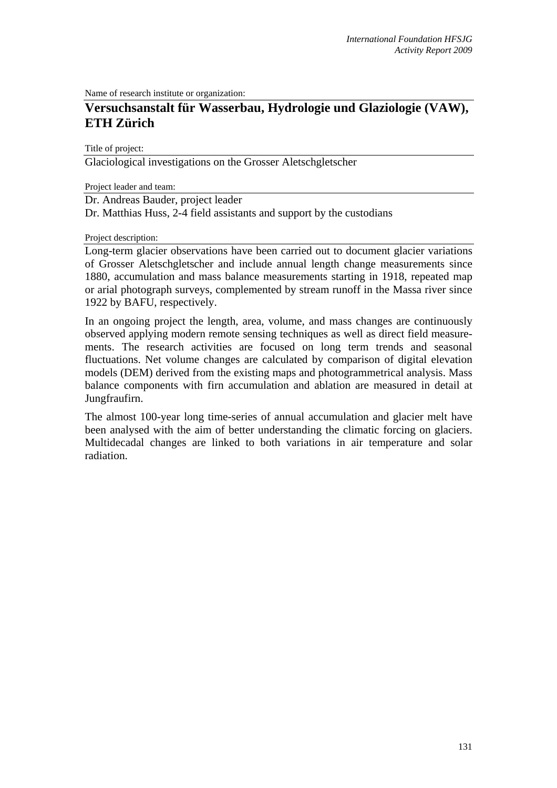Name of research institute or organization:

# **Versuchsanstalt für Wasserbau, Hydrologie und Glaziologie (VAW), ETH Zürich**

Title of project:

Glaciological investigations on the Grosser Aletschgletscher

Project leader and team:

Dr. Andreas Bauder, project leader

Dr. Matthias Huss, 2-4 field assistants and support by the custodians

Project description:

Long-term glacier observations have been carried out to document glacier variations of Grosser Aletschgletscher and include annual length change measurements since 1880, accumulation and mass balance measurements starting in 1918, repeated map or arial photograph surveys, complemented by stream runoff in the Massa river since 1922 by BAFU, respectively.

In an ongoing project the length, area, volume, and mass changes are continuously observed applying modern remote sensing techniques as well as direct field measurements. The research activities are focused on long term trends and seasonal fluctuations. Net volume changes are calculated by comparison of digital elevation models (DEM) derived from the existing maps and photogrammetrical analysis. Mass balance components with firn accumulation and ablation are measured in detail at Jungfraufirn.

The almost 100-year long time-series of annual accumulation and glacier melt have been analysed with the aim of better understanding the climatic forcing on glaciers. Multidecadal changes are linked to both variations in air temperature and solar radiation.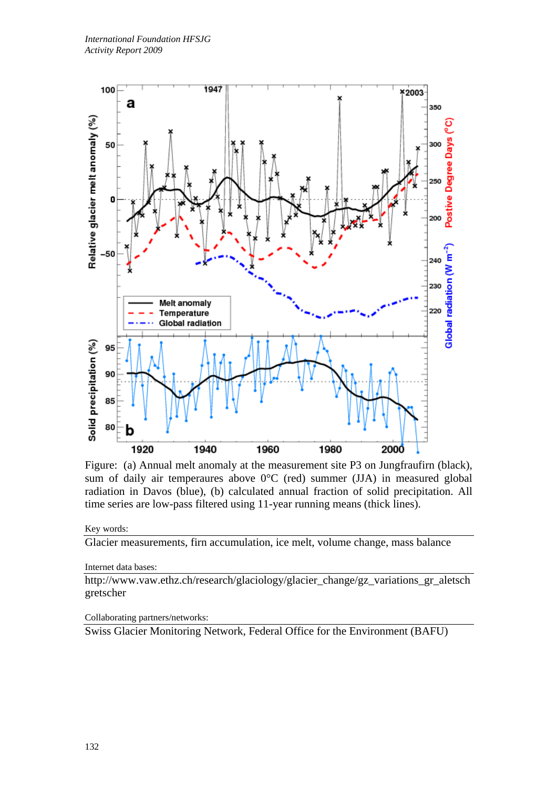

Figure: (a) Annual melt anomaly at the measurement site P3 on Jungfraufirn (black), sum of daily air temperaures above 0°C (red) summer (JJA) in measured global radiation in Davos (blue), (b) calculated annual fraction of solid precipitation. All time series are low-pass filtered using 11-year running means (thick lines).

### Key words:

Glacier measurements, firn accumulation, ice melt, volume change, mass balance

Internet data bases:

http://www.vaw.ethz.ch/research/glaciology/glacier\_change/gz\_variations\_gr\_aletsch gretscher

#### Collaborating partners/networks:

Swiss Glacier Monitoring Network, Federal Office for the Environment (BAFU)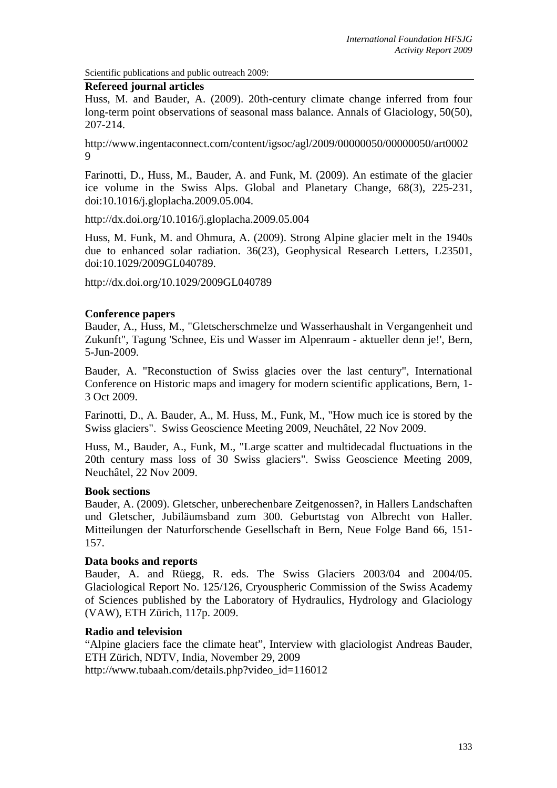Scientific publications and public outreach 2009:

#### **Refereed journal articles**

Huss, M. and Bauder, A. (2009). 20th-century climate change inferred from four long-term point observations of seasonal mass balance. Annals of Glaciology, 50(50), 207-214.

http://www.ingentaconnect.com/content/igsoc/agl/2009/00000050/00000050/art0002 9

Farinotti, D., Huss, M., Bauder, A. and Funk, M. (2009). An estimate of the glacier ice volume in the Swiss Alps. Global and Planetary Change, 68(3), 225-231, doi:10.1016/j.gloplacha.2009.05.004.

http://dx.doi.org/10.1016/j.gloplacha.2009.05.004

Huss, M. Funk, M. and Ohmura, A. (2009). Strong Alpine glacier melt in the 1940s due to enhanced solar radiation. 36(23), Geophysical Research Letters, L23501, doi:10.1029/2009GL040789.

http://dx.doi.org/10.1029/2009GL040789

#### **Conference papers**

Bauder, A., Huss, M., "Gletscherschmelze und Wasserhaushalt in Vergangenheit und Zukunft", Tagung 'Schnee, Eis und Wasser im Alpenraum - aktueller denn je!', Bern, 5-Jun-2009.

Bauder, A. "Reconstuction of Swiss glacies over the last century", International Conference on Historic maps and imagery for modern scientific applications, Bern, 1- 3 Oct 2009.

Farinotti, D., A. Bauder, A., M. Huss, M., Funk, M., "How much ice is stored by the Swiss glaciers". Swiss Geoscience Meeting 2009, Neuchâtel, 22 Nov 2009.

Huss, M., Bauder, A., Funk, M., "Large scatter and multidecadal fluctuations in the 20th century mass loss of 30 Swiss glaciers". Swiss Geoscience Meeting 2009, Neuchâtel, 22 Nov 2009.

# **Book sections**

Bauder, A. (2009). Gletscher, unberechenbare Zeitgenossen?, in Hallers Landschaften und Gletscher, Jubiläumsband zum 300. Geburtstag von Albrecht von Haller. Mitteilungen der Naturforschende Gesellschaft in Bern, Neue Folge Band 66, 151- 157.

# **Data books and reports**

Bauder, A. and Rüegg, R. eds. The Swiss Glaciers 2003/04 and 2004/05. Glaciological Report No. 125/126, Cryouspheric Commission of the Swiss Academy of Sciences published by the Laboratory of Hydraulics, Hydrology and Glaciology (VAW), ETH Zürich, 117p. 2009.

# **Radio and television**

"Alpine glaciers face the climate heat", Interview with glaciologist Andreas Bauder, ETH Zürich, NDTV, India, November 29, 2009 http://www.tubaah.com/details.php?video\_id=116012